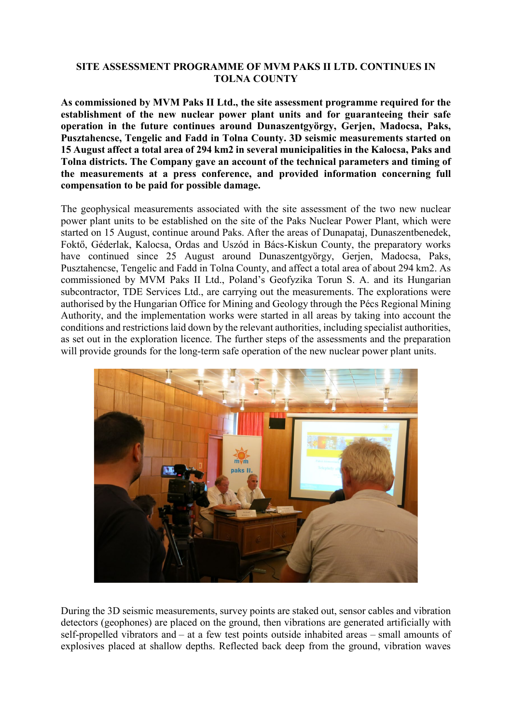## **SITE ASSESSMENT PROGRAMME OF MVM PAKS II LTD. CONTINUES IN TOLNA COUNTY**

**As commissioned by MVM Paks II Ltd., the site assessment programme required for the establishment of the new nuclear power plant units and for guaranteeing their safe operation in the future continues around Dunaszentgyörgy, Gerjen, Madocsa, Paks, Pusztahencse, Tengelic and Fadd in Tolna County. 3D seismic measurements started on 15 August affect a total area of 294 km2 in several municipalities in the Kalocsa, Paks and Tolna districts. The Company gave an account of the technical parameters and timing of the measurements at a press conference, and provided information concerning full compensation to be paid for possible damage.**

The geophysical measurements associated with the site assessment of the two new nuclear power plant units to be established on the site of the Paks Nuclear Power Plant, which were started on 15 August, continue around Paks. After the areas of Dunapataj, Dunaszentbenedek, Foktő, Géderlak, Kalocsa, Ordas and Uszód in Bács-Kiskun County, the preparatory works have continued since 25 August around Dunaszentgyörgy, Gerjen, Madocsa, Paks, Pusztahencse, Tengelic and Fadd in Tolna County, and affect a total area of about 294 km2. As commissioned by MVM Paks II Ltd., Poland's Geofyzika Torun S. A. and its Hungarian subcontractor, TDE Services Ltd., are carrying out the measurements. The explorations were authorised by the Hungarian Office for Mining and Geology through the Pécs Regional Mining Authority, and the implementation works were started in all areas by taking into account the conditions and restrictions laid down by the relevant authorities, including specialist authorities, as set out in the exploration licence. The further steps of the assessments and the preparation will provide grounds for the long-term safe operation of the new nuclear power plant units.



During the 3D seismic measurements, survey points are staked out, sensor cables and vibration detectors (geophones) are placed on the ground, then vibrations are generated artificially with self-propelled vibrators and – at a few test points outside inhabited areas – small amounts of explosives placed at shallow depths. Reflected back deep from the ground, vibration waves